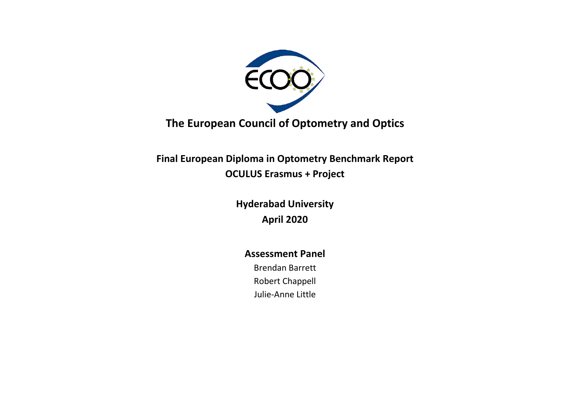

**The European Council of Optometry and Optics**

**Final European Diploma in Optometry Benchmark Report OCULUS Erasmus + Project**

> **Hyderabad University April 2020**

### **Assessment Panel**

Brendan Barrett Robert Chappell Julie-Anne Little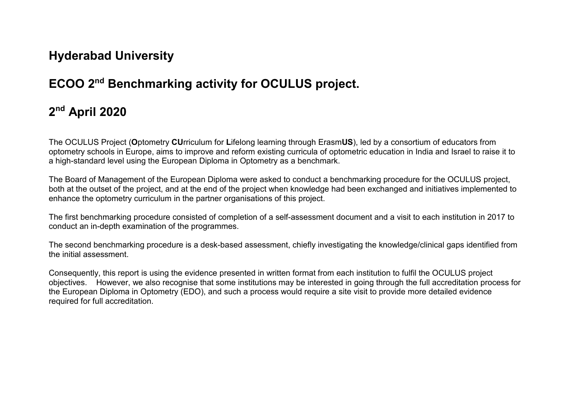## **Hyderabad University**

# **ECOO 2nd Benchmarking activity for OCULUS project.**

# **2nd April 2020**

The OCULUS Project (**O**ptometry **CU**rriculum for **L**ifelong learning through Erasm**US**), led by a consortium of educators from optometry schools in Europe, aims to improve and reform existing curricula of optometric education in India and Israel to raise it to a high-standard level using the European Diploma in Optometry as a benchmark.

The Board of Management of the European Diploma were asked to conduct a benchmarking procedure for the OCULUS project, both at the outset of the project, and at the end of the project when knowledge had been exchanged and initiatives implemented to enhance the optometry curriculum in the partner organisations of this project.

The first benchmarking procedure consisted of completion of a self-assessment document and a visit to each institution in 2017 to conduct an in-depth examination of the programmes.

The second benchmarking procedure is a desk-based assessment, chiefly investigating the knowledge/clinical gaps identified from the initial assessment.

Consequently, this report is using the evidence presented in written format from each institution to fulfil the OCULUS project objectives. However, we also recognise that some institutions may be interested in going through the full accreditation process for the European Diploma in Optometry (EDO), and such a process would require a site visit to provide more detailed evidence required for full accreditation.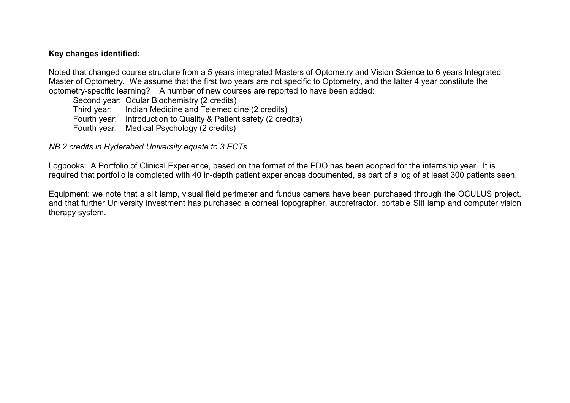#### **Key changes identified:**

Noted that changed course structure from a 5 years integrated Masters of Optometry and Vision Science to 6 years Integrated Master of Optometry. We assume that the first two years are not specific to Optometry, and the latter 4 year constitute the optometry-specific learning? A number of new courses are reported to have been added:

Second year: Ocular Biochemistry (2 credits) Third year: Indian Medicine and Telemedicine (2 credits) Fourth year: Introduction to Quality & Patient safety (2 credits) Fourth year: Medical Psychology (2 credits)

*NB 2 credits in Hyderabad University equate to 3 ECTs*

Logbooks: A Portfolio of Clinical Experience, based on the format of the EDO has been adopted for the internship year. It is required that portfolio is completed with 40 in-depth patient experiences documented, as part of a log of at least 300 patients seen.

Equipment: we note that a slit lamp, visual field perimeter and fundus camera have been purchased through the OCULUS project, and that further University investment has purchased a corneal topographer, autorefractor, portable Slit lamp and computer vision therapy system.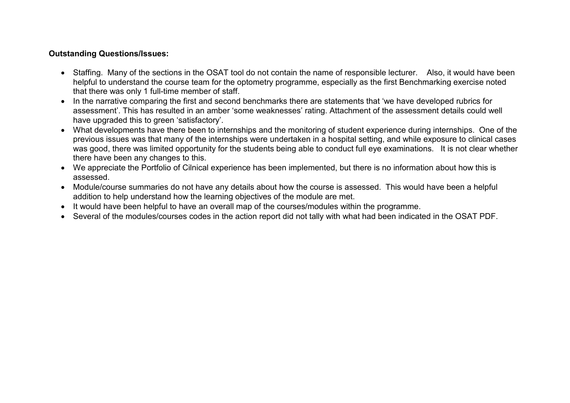#### **Outstanding Questions/Issues:**

- Staffing. Many of the sections in the OSAT tool do not contain the name of responsible lecturer. Also, it would have been helpful to understand the course team for the optometry programme, especially as the first Benchmarking exercise noted that there was only 1 full-time member of staff.
- In the narrative comparing the first and second benchmarks there are statements that 'we have developed rubrics for assessment'. This has resulted in an amber 'some weaknesses' rating. Attachment of the assessment details could well have upgraded this to green 'satisfactory'.
- What developments have there been to internships and the monitoring of student experience during internships. One of the previous issues was that many of the internships were undertaken in a hospital setting, and while exposure to clinical cases was good, there was limited opportunity for the students being able to conduct full eye examinations. It is not clear whether there have been any changes to this.
- We appreciate the Portfolio of Cilnical experience has been implemented, but there is no information about how this is assessed.
- Module/course summaries do not have any details about how the course is assessed. This would have been a helpful addition to help understand how the learning objectives of the module are met.
- It would have been helpful to have an overall map of the courses/modules within the programme.
- Several of the modules/courses codes in the action report did not tally with what had been indicated in the OSAT PDF.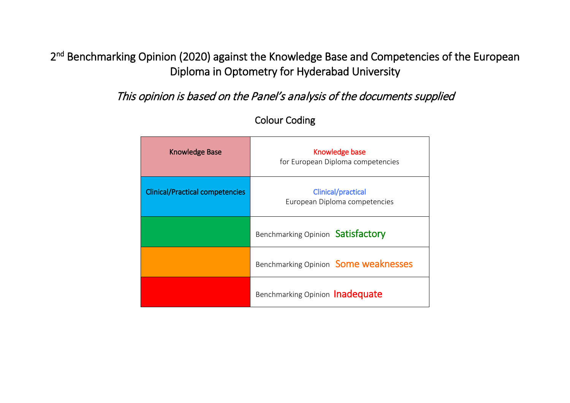2<sup>nd</sup> Benchmarking Opinion (2020) against the Knowledge Base and Competencies of the European Diploma in Optometry for Hyderabad University

This opinion is based on the Panel's analysis of the documents supplied

| <b>Knowledge Base</b>                  | Knowledge base<br>for European Diploma competencies        |
|----------------------------------------|------------------------------------------------------------|
| <b>Clinical/Practical competencies</b> | <b>Clinical/practical</b><br>European Diploma competencies |
|                                        | Benchmarking Opinion Satisfactory                          |
|                                        | Benchmarking Opinion Some weaknesses                       |
|                                        | Benchmarking Opinion Inadequate                            |

### Colour Coding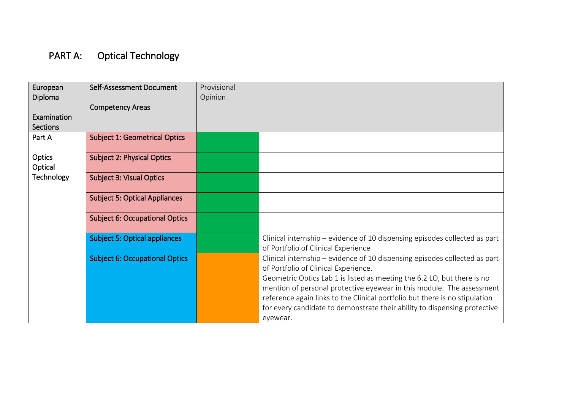# PART A: Optical Technology

| European<br>Diploma<br>Examination<br><b>Sections</b> | Self-Assessment Document<br><b>Competency Areas</b> | Provisional<br>Opinion |                                                                                                                                                                                                                                                                                                                                                                                                                                                |
|-------------------------------------------------------|-----------------------------------------------------|------------------------|------------------------------------------------------------------------------------------------------------------------------------------------------------------------------------------------------------------------------------------------------------------------------------------------------------------------------------------------------------------------------------------------------------------------------------------------|
| Part A                                                | <b>Subject 1: Geometrical Optics</b>                |                        |                                                                                                                                                                                                                                                                                                                                                                                                                                                |
| Optics<br>Optical                                     | <b>Subject 2: Physical Optics</b>                   |                        |                                                                                                                                                                                                                                                                                                                                                                                                                                                |
| Technology                                            | <b>Subject 3: Visual Optics</b>                     |                        |                                                                                                                                                                                                                                                                                                                                                                                                                                                |
|                                                       | <b>Subject 5: Optical Appliances</b>                |                        |                                                                                                                                                                                                                                                                                                                                                                                                                                                |
|                                                       | <b>Subject 6: Occupational Optics</b>               |                        |                                                                                                                                                                                                                                                                                                                                                                                                                                                |
|                                                       | <b>Subject 5: Optical appliances</b>                |                        | Clinical internship - evidence of 10 dispensing episodes collected as part<br>of Portfolio of Clinical Experience                                                                                                                                                                                                                                                                                                                              |
|                                                       | <b>Subject 6: Occupational Optics</b>               |                        | Clinical internship – evidence of 10 dispensing episodes collected as part<br>of Portfolio of Clinical Experience.<br>Geometric Optics Lab 1 is listed as meeting the 6.2 LO, but there is no<br>mention of personal protective eyewear in this module. The assessment<br>reference again links to the Clinical portfolio but there is no stipulation<br>for every candidate to demonstrate their ability to dispensing protective<br>eyewear. |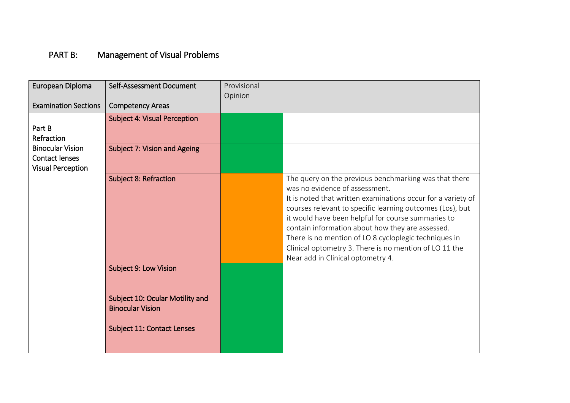### PART B: Management of Visual Problems

| European Diploma                                                             | Self-Assessment Document                                   | Provisional<br>Opinion |                                                                                                                                                                                                                                                                                                                                                                                                                                                                                        |
|------------------------------------------------------------------------------|------------------------------------------------------------|------------------------|----------------------------------------------------------------------------------------------------------------------------------------------------------------------------------------------------------------------------------------------------------------------------------------------------------------------------------------------------------------------------------------------------------------------------------------------------------------------------------------|
| <b>Examination Sections</b>                                                  | <b>Competency Areas</b>                                    |                        |                                                                                                                                                                                                                                                                                                                                                                                                                                                                                        |
| Part B<br>Refraction                                                         | <b>Subject 4: Visual Perception</b>                        |                        |                                                                                                                                                                                                                                                                                                                                                                                                                                                                                        |
| <b>Binocular Vision</b><br><b>Contact lenses</b><br><b>Visual Perception</b> | <b>Subject 7: Vision and Ageing</b>                        |                        |                                                                                                                                                                                                                                                                                                                                                                                                                                                                                        |
|                                                                              | <b>Subject 8: Refraction</b>                               |                        | The query on the previous benchmarking was that there<br>was no evidence of assessment.<br>It is noted that written examinations occur for a variety of<br>courses relevant to specific learning outcomes (Los), but<br>it would have been helpful for course summaries to<br>contain information about how they are assessed.<br>There is no mention of LO 8 cycloplegic techniques in<br>Clinical optometry 3. There is no mention of LO 11 the<br>Near add in Clinical optometry 4. |
|                                                                              | <b>Subject 9: Low Vision</b>                               |                        |                                                                                                                                                                                                                                                                                                                                                                                                                                                                                        |
|                                                                              | Subject 10: Ocular Motility and<br><b>Binocular Vision</b> |                        |                                                                                                                                                                                                                                                                                                                                                                                                                                                                                        |
|                                                                              | <b>Subject 11: Contact Lenses</b>                          |                        |                                                                                                                                                                                                                                                                                                                                                                                                                                                                                        |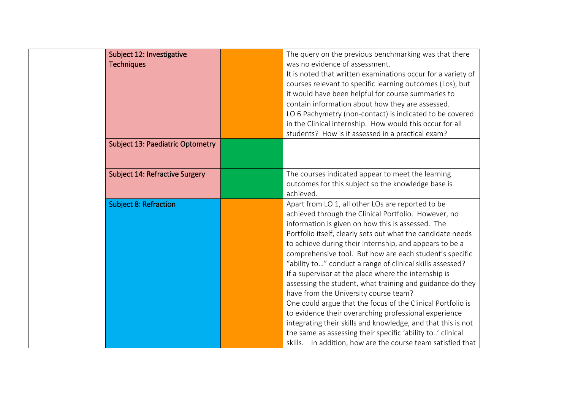| Subject 12: Investigative<br><b>Techniques</b> | The query on the previous benchmarking was that there<br>was no evidence of assessment.<br>It is noted that written examinations occur for a variety of<br>courses relevant to specific learning outcomes (Los), but<br>it would have been helpful for course summaries to<br>contain information about how they are assessed.<br>LO 6 Pachymetry (non-contact) is indicated to be covered<br>in the Clinical internship. How would this occur for all<br>students? How is it assessed in a practical exam?                                                                                                                                                                                                                                                                                                                                                                                         |
|------------------------------------------------|-----------------------------------------------------------------------------------------------------------------------------------------------------------------------------------------------------------------------------------------------------------------------------------------------------------------------------------------------------------------------------------------------------------------------------------------------------------------------------------------------------------------------------------------------------------------------------------------------------------------------------------------------------------------------------------------------------------------------------------------------------------------------------------------------------------------------------------------------------------------------------------------------------|
| <b>Subject 13: Paediatric Optometry</b>        |                                                                                                                                                                                                                                                                                                                                                                                                                                                                                                                                                                                                                                                                                                                                                                                                                                                                                                     |
| <b>Subject 14: Refractive Surgery</b>          | The courses indicated appear to meet the learning<br>outcomes for this subject so the knowledge base is<br>achieved.                                                                                                                                                                                                                                                                                                                                                                                                                                                                                                                                                                                                                                                                                                                                                                                |
| <b>Subject 8: Refraction</b>                   | Apart from LO 1, all other LOs are reported to be<br>achieved through the Clinical Portfolio. However, no<br>information is given on how this is assessed. The<br>Portfolio itself, clearly sets out what the candidate needs<br>to achieve during their internship, and appears to be a<br>comprehensive tool. But how are each student's specific<br>"ability to" conduct a range of clinical skills assessed?<br>If a supervisor at the place where the internship is<br>assessing the student, what training and guidance do they<br>have from the University course team?<br>One could argue that the focus of the Clinical Portfolio is<br>to evidence their overarching professional experience<br>integrating their skills and knowledge, and that this is not<br>the same as assessing their specific 'ability to' clinical<br>skills. In addition, how are the course team satisfied that |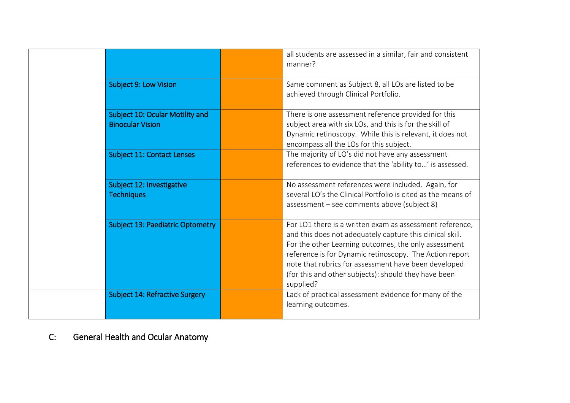|                                                            | all students are assessed in a similar, fair and consistent<br>manner?                                                                                                                                                                                                                                                                                                |
|------------------------------------------------------------|-----------------------------------------------------------------------------------------------------------------------------------------------------------------------------------------------------------------------------------------------------------------------------------------------------------------------------------------------------------------------|
| <b>Subject 9: Low Vision</b>                               | Same comment as Subject 8, all LOs are listed to be<br>achieved through Clinical Portfolio.                                                                                                                                                                                                                                                                           |
| Subject 10: Ocular Motility and<br><b>Binocular Vision</b> | There is one assessment reference provided for this<br>subject area with six LOs, and this is for the skill of<br>Dynamic retinoscopy. While this is relevant, it does not<br>encompass all the LOs for this subject.                                                                                                                                                 |
| <b>Subject 11: Contact Lenses</b>                          | The majority of LO's did not have any assessment<br>references to evidence that the 'ability to' is assessed.                                                                                                                                                                                                                                                         |
| Subject 12: Investigative<br><b>Techniques</b>             | No assessment references were included. Again, for<br>several LO's the Clinical Portfolio is cited as the means of<br>assessment – see comments above (subject 8)                                                                                                                                                                                                     |
| <b>Subject 13: Paediatric Optometry</b>                    | For LO1 there is a written exam as assessment reference,<br>and this does not adequately capture this clinical skill.<br>For the other Learning outcomes, the only assessment<br>reference is for Dynamic retinoscopy. The Action report<br>note that rubrics for assessment have been developed<br>(for this and other subjects): should they have been<br>supplied? |
| <b>Subject 14: Refractive Surgery</b>                      | Lack of practical assessment evidence for many of the<br>learning outcomes.                                                                                                                                                                                                                                                                                           |

C: General Health and Ocular Anatomy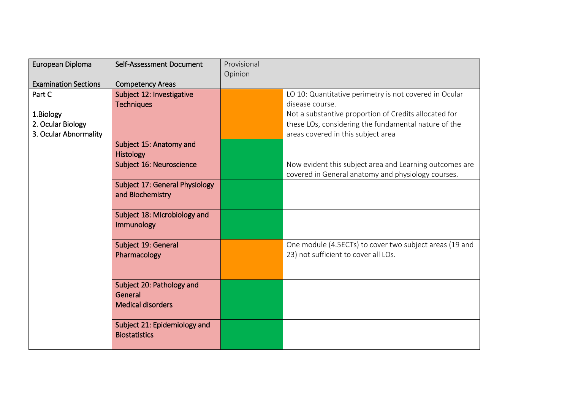| European Diploma            | Self-Assessment Document                                         | Provisional |                                                                                                 |
|-----------------------------|------------------------------------------------------------------|-------------|-------------------------------------------------------------------------------------------------|
| <b>Examination Sections</b> | <b>Competency Areas</b>                                          | Opinion     |                                                                                                 |
| Part C                      | Subject 12: Investigative                                        |             | LO 10: Quantitative perimetry is not covered in Ocular                                          |
|                             | <b>Techniques</b>                                                |             | disease course.                                                                                 |
| 1.Biology                   |                                                                  |             | Not a substantive proportion of Credits allocated for                                           |
| 2. Ocular Biology           |                                                                  |             | these LOs, considering the fundamental nature of the                                            |
| 3. Ocular Abnormality       |                                                                  |             | areas covered in this subject area                                                              |
|                             | Subject 15: Anatomy and<br><b>Histology</b>                      |             |                                                                                                 |
|                             | Subject 16: Neuroscience                                         |             | Now evident this subject area and Learning outcomes are                                         |
|                             |                                                                  |             | covered in General anatomy and physiology courses.                                              |
|                             | Subject 17: General Physiology<br>and Biochemistry               |             |                                                                                                 |
|                             | Subject 18: Microbiology and<br>Immunology                       |             |                                                                                                 |
|                             | Subject 19: General<br>Pharmacology                              |             | One module (4.5ECTs) to cover two subject areas (19 and<br>23) not sufficient to cover all LOs. |
|                             | Subject 20: Pathology and<br>General<br><b>Medical disorders</b> |             |                                                                                                 |
|                             | Subject 21: Epidemiology and<br><b>Biostatistics</b>             |             |                                                                                                 |